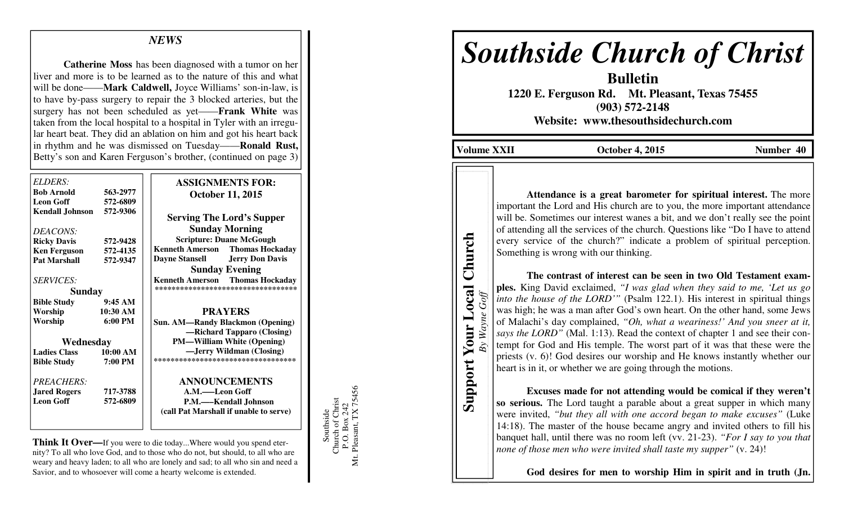## *NEWS*

 **Catherine Moss** has been diagnosed with a tumor on her liver and more is to be learned as to the nature of this and what will be done——**Mark Caldwell,** Joyce Williams' son-in-law, is to have by-pass surgery to repair the 3 blocked arteries, but the surgery has not been scheduled as yet——**Frank White** was taken from the local hospital to a hospital in Tyler with an irregular heart beat. They did an ablation on him and got his heart back in rhythm and he was dismissed on Tuesday——**Ronald Rust,** Betty's son and Karen Ferguson's brother, (continued on page 3)

| ELDERS:<br><b>Bob Arnold</b>               | 563-2977          | <b>ASSIGNMENTS FOR:</b>                                       |
|--------------------------------------------|-------------------|---------------------------------------------------------------|
| <b>Leon Goff</b>                           | 572-6809          | <b>October 11, 2015</b>                                       |
| <b>Kendall Johnson</b>                     | 572-9306          |                                                               |
|                                            |                   | <b>Serving The Lord's Supper</b>                              |
| DEACONS:                                   |                   | <b>Sunday Morning</b>                                         |
| <b>Ricky Davis</b>                         | 572-9428          | <b>Scripture: Duane McGough</b>                               |
|                                            | 572-4135          | <b>Thomas Hockaday</b><br><b>Kenneth Amerson</b>              |
| <b>Ken Ferguson</b><br><b>Pat Marshall</b> | 572-9347          | <b>Dayne Stansell</b><br><b>Jerry Don Davis</b>               |
|                                            |                   | <b>Sunday Evening</b>                                         |
| <b>SERVICES:</b>                           |                   | <b>Thomas Hockaday</b>                                        |
|                                            |                   | <b>Kenneth Amerson</b><br>*********************************** |
| <b>Sunday</b>                              |                   |                                                               |
| <b>Bible Study</b>                         | 9:45AM            |                                                               |
| Worship                                    | 10:30 AM          | <b>PRAYERS</b>                                                |
| Worship                                    | $6:00 \text{ PM}$ | <b>Sun. AM—Randy Blackmon (Opening)</b>                       |
|                                            |                   | -Richard Tapparo (Closing)                                    |
| Wednesday                                  |                   | <b>PM—William White (Opening)</b>                             |
| <b>Ladies Class</b>                        | 10:00 AM          | -Jerry Wildman (Closing)                                      |
| <b>Bible Study</b>                         | 7:00 PM           | ***********************************                           |
| <b>PREACHERS:</b>                          |                   | <b>ANNOUNCEMENTS</b>                                          |
| <b>Jared Rogers</b>                        | 717-3788          | A.M.—Leon Goff                                                |
| <b>Leon Goff</b>                           | 572-6809          | P.M.—–Kendall Johnson                                         |
|                                            |                   | (call Pat Marshall if unable to serve)                        |

**Think It Over—**If you were to die today...Where would you spend eternity? To all who love God, and to those who do not, but should, to all who are weary and heavy laden; to all who are lonely and sad; to all who sin and need a Savior, and to whosoever will come a hearty welcome is extended.

Mt. Pleasant, TX 75456 P.O. Box 242<br>Pleasant, TX 75456 Southside<br>Church of Christ Church of Christ P.O. Box 242 Southside Μt.

# *Southside Church of Christ*

 **1220 E. Ferguson Rd. Mt. Pleasant, Texas 75455 (903) 572-2148 Website: www.thesouthsidechurch.com** 

**Bulletin** 

**Volume XXII October 4, 2015 Number 40 Number 40** 

**Support Your Local Church**  *By Wayne Goff*

 $Goff$ 

By Wayne

**Support Your Local** 

Church

**Attendance is a great barometer for spiritual interest.** The more important the Lord and His church are to you, the more important attendance will be. Sometimes our interest wanes a bit, and we don't really see the point of attending all the services of the church. Questions like "Do I have to attend every service of the church?" indicate a problem of spiritual perception. Something is wrong with our thinking.

**The contrast of interest can be seen in two Old Testament examples.** King David exclaimed, *"I was glad when they said to me, 'Let us go into the house of the LORD'"* (Psalm 122.1). His interest in spiritual things was high; he was a man after God's own heart. On the other hand, some Jews of Malachi's day complained, *"Oh, what a weariness!' And you sneer at it, says the LORD"* (Mal. 1:13). Read the context of chapter 1 and see their contempt for God and His temple. The worst part of it was that these were the priests (v. 6)! God desires our worship and He knows instantly whether our heart is in it, or whether we are going through the motions.

**Excuses made for not attending would be comical if they weren't so serious.** The Lord taught a parable about a great supper in which many were invited, *"but they all with one accord began to make excuses"* (Luke 14:18). The master of the house became angry and invited others to fill his banquet hall, until there was no room left (vv. 21-23). *"For I say to you that none of those men who were invited shall taste my supper*" (v. 24)!

**God desires for men to worship Him in spirit and in truth (Jn.**